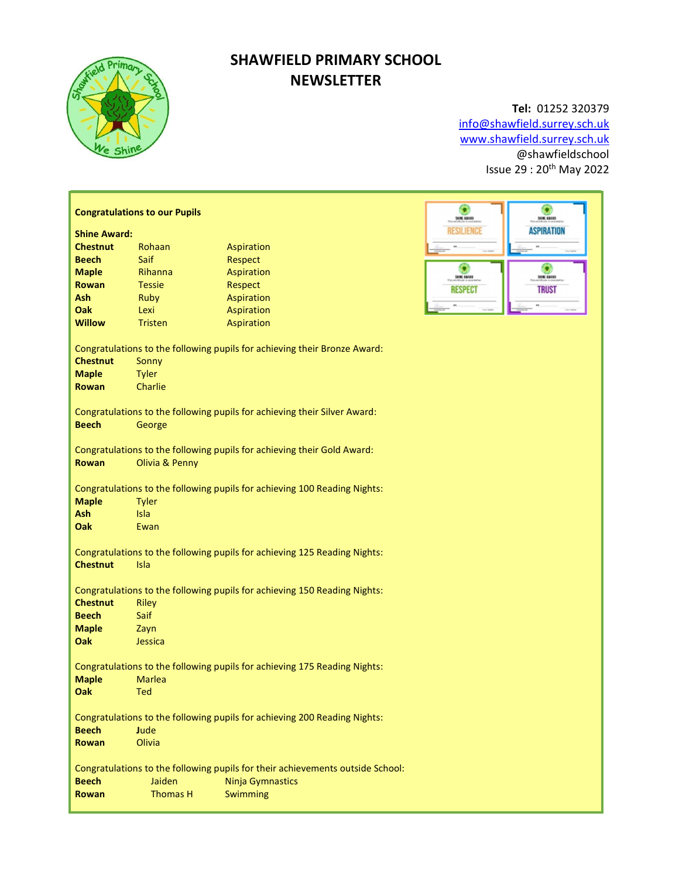

# SHAWFIELD PRIMARY SCHOOL **NEWSLETTER**

# Tel: 01252 320379

info@shawfield.surrey.sch.uk www.shawfield.surrey.sch.uk @shawfieldschool Issue 29 : 20th May 2022

|                                                                                | <b>Congratulations to our Pupils</b>                                                      | ۵<br>SHIE EBIAD   | ۰<br>SHIE EBIAD         |                   |  |  |
|--------------------------------------------------------------------------------|-------------------------------------------------------------------------------------------|-------------------|-------------------------|-------------------|--|--|
| <b>Shine Award:</b>                                                            |                                                                                           | <b>RESILIENCE</b> | <b>ASPIRATION</b>       |                   |  |  |
| <b>Chestnut</b>                                                                | Rohaan                                                                                    | Aspiration        |                         |                   |  |  |
| <b>Beech</b>                                                                   | Saif                                                                                      | Respect           |                         |                   |  |  |
| <b>Maple</b>                                                                   | Rihanna                                                                                   | Aspiration        | ۰<br><b>SHINE AWARD</b> | <b>SHIK 42483</b> |  |  |
| <b>Rowan</b>                                                                   | <b>Tessie</b>                                                                             | Respect           | <b>RESPECT</b>          | <b>TRUST</b>      |  |  |
| Ash                                                                            | Ruby                                                                                      | Aspiration        |                         |                   |  |  |
| Oak                                                                            | Lexi                                                                                      | Aspiration        |                         |                   |  |  |
| <b>Willow</b>                                                                  | <b>Tristen</b>                                                                            | Aspiration        |                         |                   |  |  |
|                                                                                |                                                                                           |                   |                         |                   |  |  |
|                                                                                | Congratulations to the following pupils for achieving their Bronze Award:                 |                   |                         |                   |  |  |
| <b>Chestnut</b>                                                                | Sonny                                                                                     |                   |                         |                   |  |  |
| <b>Maple</b>                                                                   | <b>Tyler</b>                                                                              |                   |                         |                   |  |  |
| <b>Rowan</b>                                                                   | Charlie                                                                                   |                   |                         |                   |  |  |
| Congratulations to the following pupils for achieving their Silver Award:      |                                                                                           |                   |                         |                   |  |  |
| <b>Beech</b>                                                                   | George                                                                                    |                   |                         |                   |  |  |
|                                                                                |                                                                                           |                   |                         |                   |  |  |
| <b>Rowan</b>                                                                   | Congratulations to the following pupils for achieving their Gold Award:<br>Olivia & Penny |                   |                         |                   |  |  |
|                                                                                |                                                                                           |                   |                         |                   |  |  |
| Congratulations to the following pupils for achieving 100 Reading Nights:      |                                                                                           |                   |                         |                   |  |  |
| <b>Maple</b>                                                                   | <b>Tyler</b>                                                                              |                   |                         |                   |  |  |
| Ash                                                                            | Isla                                                                                      |                   |                         |                   |  |  |
| Oak                                                                            | Ewan                                                                                      |                   |                         |                   |  |  |
|                                                                                |                                                                                           |                   |                         |                   |  |  |
| Congratulations to the following pupils for achieving 125 Reading Nights:      |                                                                                           |                   |                         |                   |  |  |
| <b>Chestnut</b>                                                                | Isla                                                                                      |                   |                         |                   |  |  |
| Congratulations to the following pupils for achieving 150 Reading Nights:      |                                                                                           |                   |                         |                   |  |  |
| <b>Chestnut</b>                                                                | Riley                                                                                     |                   |                         |                   |  |  |
| <b>Beech</b>                                                                   | Saif                                                                                      |                   |                         |                   |  |  |
| <b>Maple</b>                                                                   | Zayn                                                                                      |                   |                         |                   |  |  |
| Oak                                                                            | Jessica                                                                                   |                   |                         |                   |  |  |
|                                                                                |                                                                                           |                   |                         |                   |  |  |
| Congratulations to the following pupils for achieving 175 Reading Nights:      |                                                                                           |                   |                         |                   |  |  |
| <b>Maple</b>                                                                   | <b>Marlea</b>                                                                             |                   |                         |                   |  |  |
| Oak                                                                            | Ted                                                                                       |                   |                         |                   |  |  |
| Congratulations to the following pupils for achieving 200 Reading Nights:      |                                                                                           |                   |                         |                   |  |  |
| <b>Beech</b><br>Jude                                                           |                                                                                           |                   |                         |                   |  |  |
| <b>Rowan</b>                                                                   | Olivia                                                                                    |                   |                         |                   |  |  |
|                                                                                |                                                                                           |                   |                         |                   |  |  |
| Congratulations to the following pupils for their achievements outside School: |                                                                                           |                   |                         |                   |  |  |
| <b>Beech</b>                                                                   | Jaiden<br><b>Ninja Gymnastics</b>                                                         |                   |                         |                   |  |  |
| <b>Rowan</b>                                                                   | <b>Thomas H</b>                                                                           | Swimming          |                         |                   |  |  |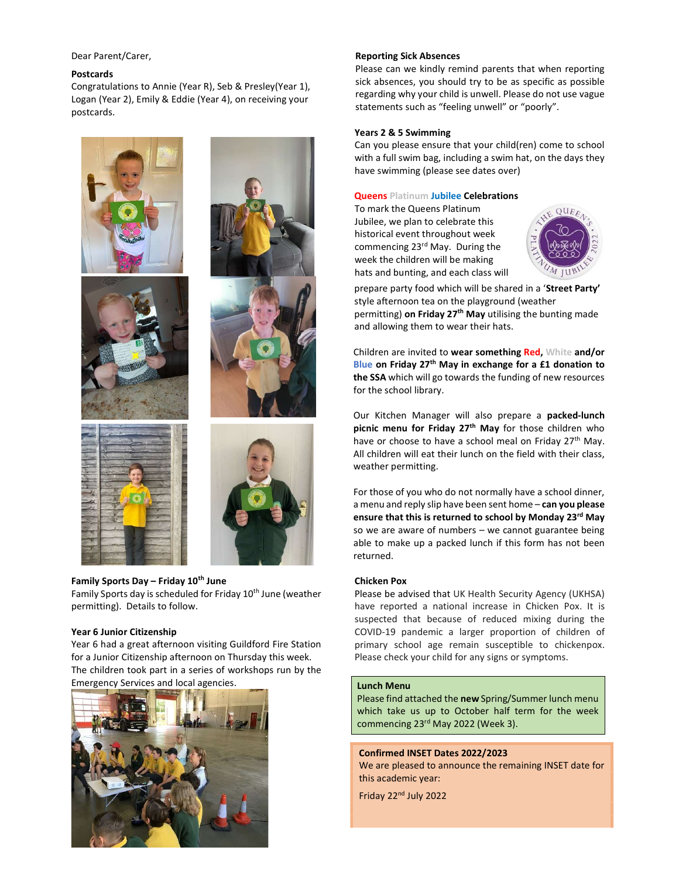Dear Parent/Carer,

#### Postcards

Congratulations to Annie (Year R), Seb & Presley(Year 1), Logan (Year 2), Emily & Eddie (Year 4), on receiving your postcards.



# Family Sports Day – Friday  $10^{th}$  June

Family Sports day is scheduled for Friday 10<sup>th</sup> June (weather permitting). Details to follow.

#### Year 6 Junior Citizenship

Year 6 had a great afternoon visiting Guildford Fire Station for a Junior Citizenship afternoon on Thursday this week. The children took part in a series of workshops run by the Emergency Services and local agencies.



#### Reporting Sick Absences

Please can we kindly remind parents that when reporting sick absences, you should try to be as specific as possible regarding why your child is unwell. Please do not use vague statements such as "feeling unwell" or "poorly".

#### Years 2 & 5 Swimming

Can you please ensure that your child(ren) come to school with a full swim bag, including a swim hat, on the days they have swimming (please see dates over)

### Queens Platinum Jubilee Celebrations

To mark the Queens Platinum Jubilee, we plan to celebrate this historical event throughout week commencing 23<sup>rd</sup> May. During the week the children will be making hats and bunting, and each class will



prepare party food which will be shared in a 'Street Party' style afternoon tea on the playground (weather permitting) on Friday 27<sup>th</sup> May utilising the bunting made and allowing them to wear their hats.

Children are invited to wear something Red, White and/or Blue on Friday 27<sup>th</sup> May in exchange for a £1 donation to the SSA which will go towards the funding of new resources for the school library.

Our Kitchen Manager will also prepare a packed-lunch picnic menu for Friday  $27<sup>th</sup>$  May for those children who have or choose to have a school meal on Friday 27<sup>th</sup> May. All children will eat their lunch on the field with their class, weather permitting.

For those of you who do not normally have a school dinner, a menu and reply slip have been sent home - can you please ensure that this is returned to school by Monday 23<sup>rd</sup> May so we are aware of numbers – we cannot guarantee being able to make up a packed lunch if this form has not been returned.

#### Chicken Pox

Please be advised that UK Health Security Agency (UKHSA) have reported a national increase in Chicken Pox. It is suspected that because of reduced mixing during the COVID-19 pandemic a larger proportion of children of primary school age remain susceptible to chickenpox. Please check your child for any signs or symptoms.

# Lunch Menu

Please find attached the new Spring/Summer lunch menu which take us up to October half term for the week commencing 23<sup>rd</sup> May 2022 (Week 3).

# Confirmed INSET Dates 2022/2023 We are pleased to announce the remaining INSET date for this academic year:

Friday 22nd July 2022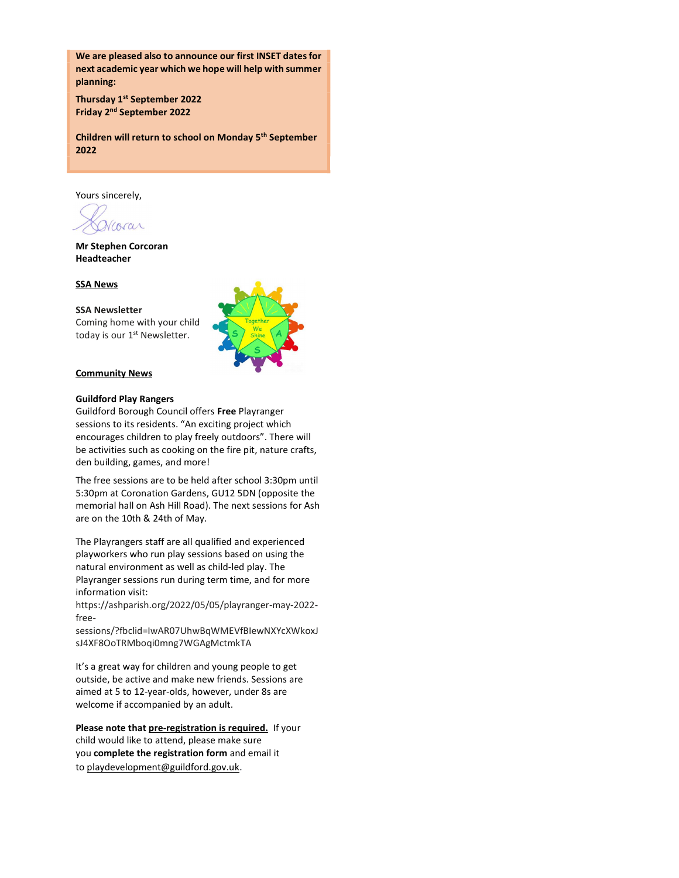We are pleased also to announce our first INSET dates for next academic year which we hope will help with summer planning:

Thursday 1<sup>st</sup> September 2022 Friday 2nd September 2022

Children will return to school on Monday 5<sup>th</sup> September 2022

Yours sincerely,

corar

Mr Stephen Corcoran Headteacher

# SSA News

#### SSA Newsletter

Coming home with your child today is our 1<sup>st</sup> Newsletter.



### Community News

# Guildford Play Rangers

Guildford Borough Council offers Free Playranger sessions to its residents. "An exciting project which encourages children to play freely outdoors". There will be activities such as cooking on the fire pit, nature crafts, den building, games, and more!

The free sessions are to be held after school 3:30pm until 5:30pm at Coronation Gardens, GU12 5DN (opposite the memorial hall on Ash Hill Road). The next sessions for Ash are on the 10th & 24th of May.

The Playrangers staff are all qualified and experienced playworkers who run play sessions based on using the natural environment as well as child-led play. The Playranger sessions run during term time, and for more information visit:

https://ashparish.org/2022/05/05/playranger-may-2022 free-

sessions/?fbclid=IwAR07UhwBqWMEVfBIewNXYcXWkoxJ sJ4XF8OoTRMboqi0mng7WGAgMctmkTA

It's a great way for children and young people to get outside, be active and make new friends. Sessions are aimed at 5 to 12-year-olds, however, under 8s are welcome if accompanied by an adult.

Please note that pre-registration is required. If your child would like to attend, please make sure you complete the registration form and email it to playdevelopment@guildford.gov.uk.